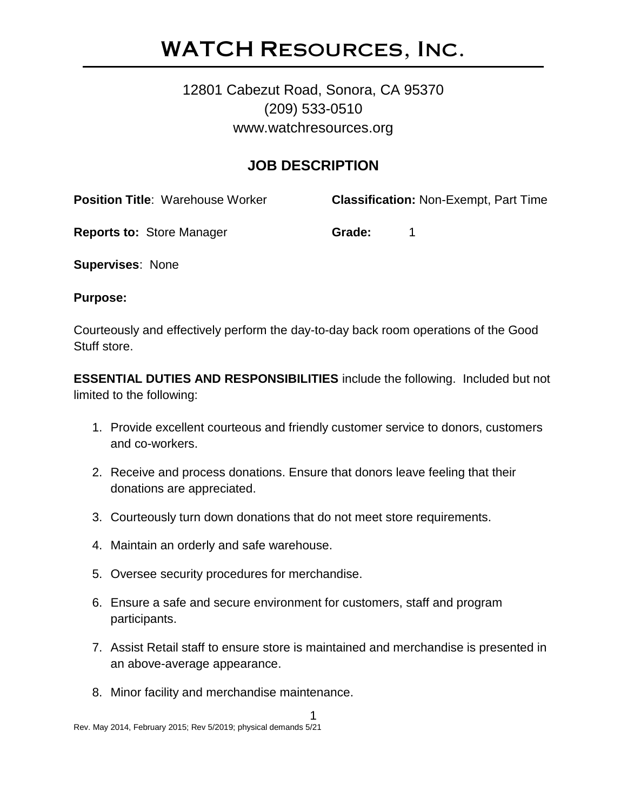## WATCH Resources, Inc.

### 12801 Cabezut Road, Sonora, CA 95370 (209) 533-0510 www.watchresources.org

#### **JOB DESCRIPTION**

**Position Title**: Warehouse Worker **Classification:** Non-Exempt, Part Time

**Reports to:** Store Manager **Grade:** 1

**Supervises**: None

**Purpose:**

Courteously and effectively perform the day-to-day back room operations of the Good Stuff store.

**ESSENTIAL DUTIES AND RESPONSIBILITIES** include the following. Included but not limited to the following:

- 1. Provide excellent courteous and friendly customer service to donors, customers and co-workers.
- 2. Receive and process donations. Ensure that donors leave feeling that their donations are appreciated.
- 3. Courteously turn down donations that do not meet store requirements.
- 4. Maintain an orderly and safe warehouse.
- 5. Oversee security procedures for merchandise.
- 6. Ensure a safe and secure environment for customers, staff and program participants.
- 7. Assist Retail staff to ensure store is maintained and merchandise is presented in an above-average appearance.
- 8. Minor facility and merchandise maintenance.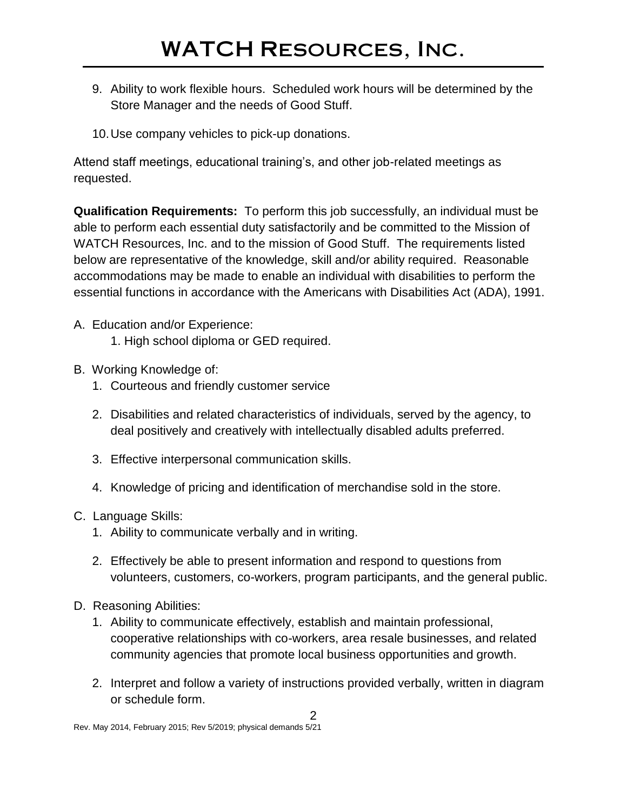- 9. Ability to work flexible hours. Scheduled work hours will be determined by the Store Manager and the needs of Good Stuff.
- 10.Use company vehicles to pick-up donations.

Attend staff meetings, educational training's, and other job-related meetings as requested.

**Qualification Requirements:** To perform this job successfully, an individual must be able to perform each essential duty satisfactorily and be committed to the Mission of WATCH Resources, Inc. and to the mission of Good Stuff. The requirements listed below are representative of the knowledge, skill and/or ability required. Reasonable accommodations may be made to enable an individual with disabilities to perform the essential functions in accordance with the Americans with Disabilities Act (ADA), 1991.

A. Education and/or Experience:

1. High school diploma or GED required.

- B. Working Knowledge of:
	- 1. Courteous and friendly customer service
	- 2. Disabilities and related characteristics of individuals, served by the agency, to deal positively and creatively with intellectually disabled adults preferred.
	- 3. Effective interpersonal communication skills.
	- 4. Knowledge of pricing and identification of merchandise sold in the store.
- C. Language Skills:
	- 1. Ability to communicate verbally and in writing.
	- 2. Effectively be able to present information and respond to questions from volunteers, customers, co-workers, program participants, and the general public.
- D. Reasoning Abilities:
	- 1. Ability to communicate effectively, establish and maintain professional, cooperative relationships with co-workers, area resale businesses, and related community agencies that promote local business opportunities and growth.
	- 2. Interpret and follow a variety of instructions provided verbally, written in diagram or schedule form.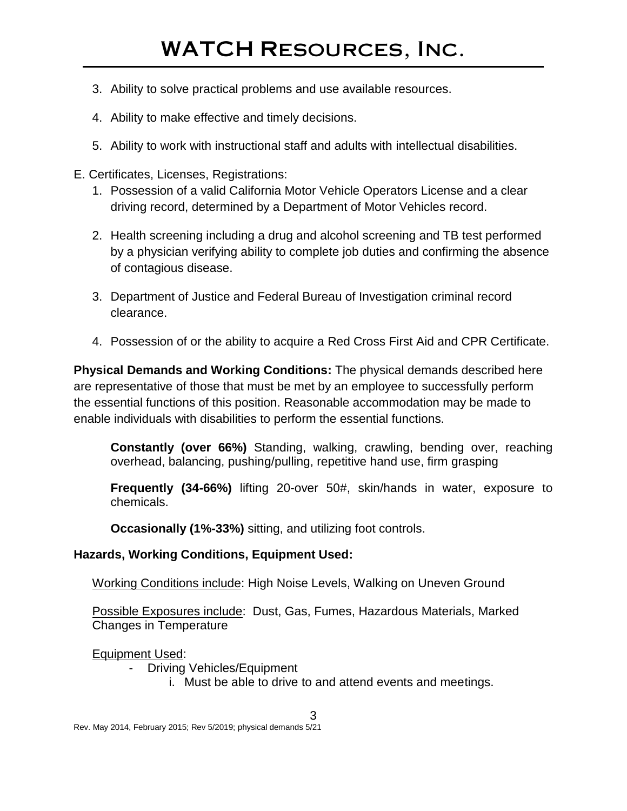# WATCH Resources, Inc.

- 3. Ability to solve practical problems and use available resources.
- 4. Ability to make effective and timely decisions.
- 5. Ability to work with instructional staff and adults with intellectual disabilities.
- E. Certificates, Licenses, Registrations:
	- 1. Possession of a valid California Motor Vehicle Operators License and a clear driving record, determined by a Department of Motor Vehicles record.
	- 2. Health screening including a drug and alcohol screening and TB test performed by a physician verifying ability to complete job duties and confirming the absence of contagious disease.
	- 3. Department of Justice and Federal Bureau of Investigation criminal record clearance.
	- 4. Possession of or the ability to acquire a Red Cross First Aid and CPR Certificate.

**Physical Demands and Working Conditions:** The physical demands described here are representative of those that must be met by an employee to successfully perform the essential functions of this position. Reasonable accommodation may be made to enable individuals with disabilities to perform the essential functions.

**Constantly (over 66%)** Standing, walking, crawling, bending over, reaching overhead, balancing, pushing/pulling, repetitive hand use, firm grasping

**Frequently (34-66%)** lifting 20-over 50#, skin/hands in water, exposure to chemicals.

**Occasionally (1%-33%)** sitting, and utilizing foot controls.

#### **Hazards, Working Conditions, Equipment Used:**

Working Conditions include: High Noise Levels, Walking on Uneven Ground

Possible Exposures include: Dust, Gas, Fumes, Hazardous Materials, Marked Changes in Temperature

Equipment Used:

- Driving Vehicles/Equipment
	- i. Must be able to drive to and attend events and meetings.